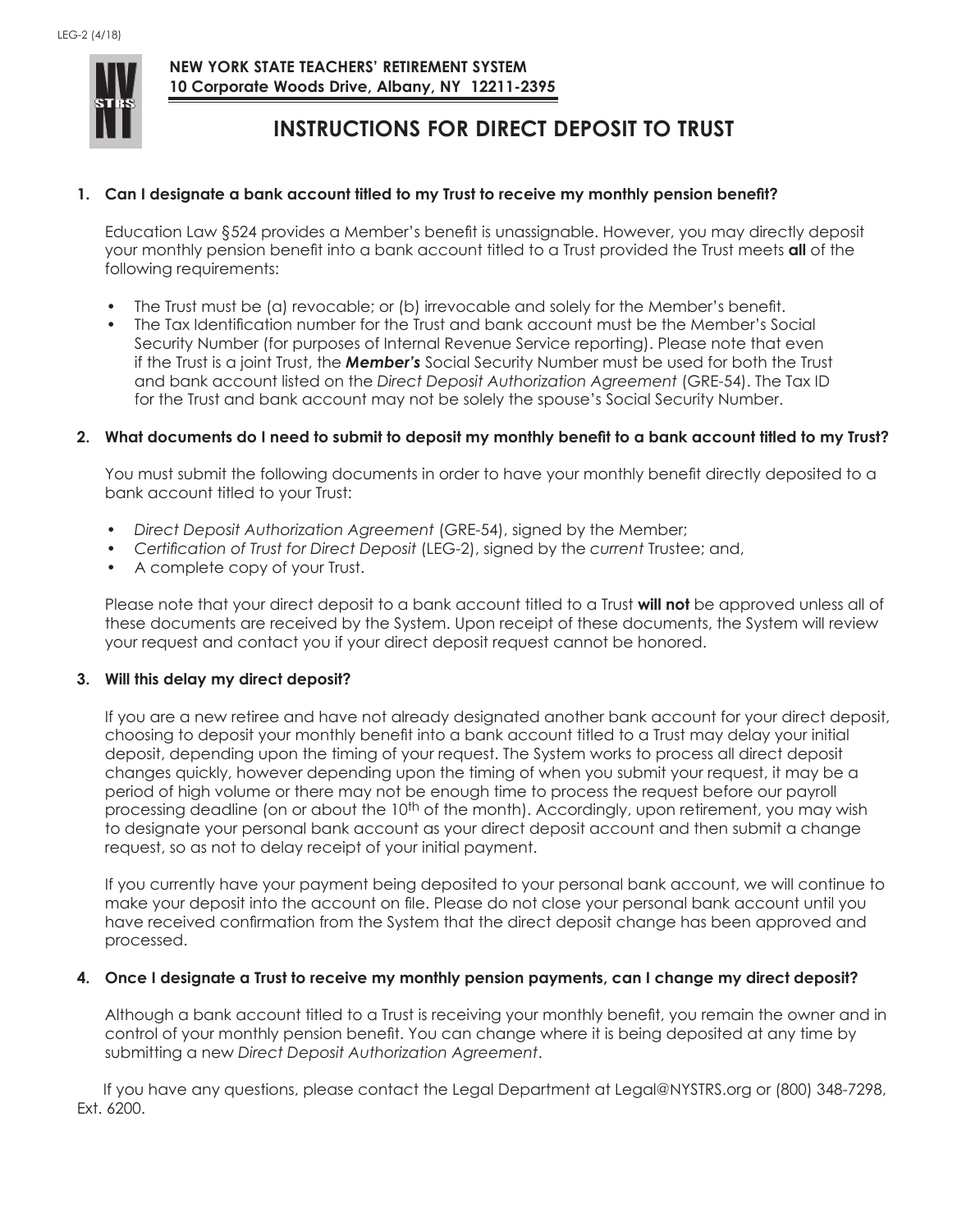

 **NEW YORK STATE TEACHERS' RETIREMENT SYSTEM 10 Corporate Woods Drive, Albany, NY 12211-2395**

# **INSTRUCTIONS FOR DIRECT DEPOSIT TO TRUST**

### **1. Can I designate a bank account titled to my Trust to receive my monthly pension benefit?**

Education Law §524 provides a Member's benefit is unassignable. However, you may directly deposit your monthly pension benefit into a bank account titled to a Trust provided the Trust meets **all** of the following requirements:

- The Trust must be (a) revocable; or (b) irrevocable and solely for the Member's benefit.
- The Tax Identification number for the Trust and bank account must be the Member's Social Security Number (for purposes of Internal Revenue Service reporting). Please note that even if the Trust is a joint Trust, the *Member's* Social Security Number must be used for both the Trust and bank account listed on the *Direct Deposit Authorization Agreement* (GRE-54). The Tax ID for the Trust and bank account may not be solely the spouse's Social Security Number.

### **2. What documents do I need to submit to deposit my monthly benefit to a bank account titled to my Trust?**

You must submit the following documents in order to have your monthly benefit directly deposited to a bank account titled to your Trust:

- *• Direct Deposit Authorization Agreement* (GRE-54), signed by the Member;
- *• Certification of Trust for Direct Deposit* (LEG-2), signed by the *current* Trustee; and,
- A complete copy of your Trust.

Please note that your direct deposit to a bank account titled to a Trust **will not** be approved unless all of these documents are received by the System. Upon receipt of these documents, the System will review your request and contact you if your direct deposit request cannot be honored.

#### **3. Will this delay my direct deposit?**

If you are a new retiree and have not already designated another bank account for your direct deposit, choosing to deposit your monthly benefit into a bank account titled to a Trust may delay your initial deposit, depending upon the timing of your request. The System works to process all direct deposit changes quickly, however depending upon the timing of when you submit your request, it may be a period of high volume or there may not be enough time to process the request before our payroll processing deadline (on or about the 10<sup>th</sup> of the month). Accordingly, upon retirement, you may wish to designate your personal bank account as your direct deposit account and then submit a change request, so as not to delay receipt of your initial payment.

If you currently have your payment being deposited to your personal bank account, we will continue to make your deposit into the account on file. Please do not close your personal bank account until you have received confirmation from the System that the direct deposit change has been approved and processed.

#### **4. Once I designate a Trust to receive my monthly pension payments, can I change my direct deposit?**

Although a bank account titled to a Trust is receiving your monthly benefit, you remain the owner and in control of your monthly pension benefit. You can change where it is being deposited at any time by submitting a new *Direct Deposit Authorization Agreement*.

If you have any questions, please contact the Legal Department at Legal@NYSTRS.org or (800) 348-7298, Ext. 6200.